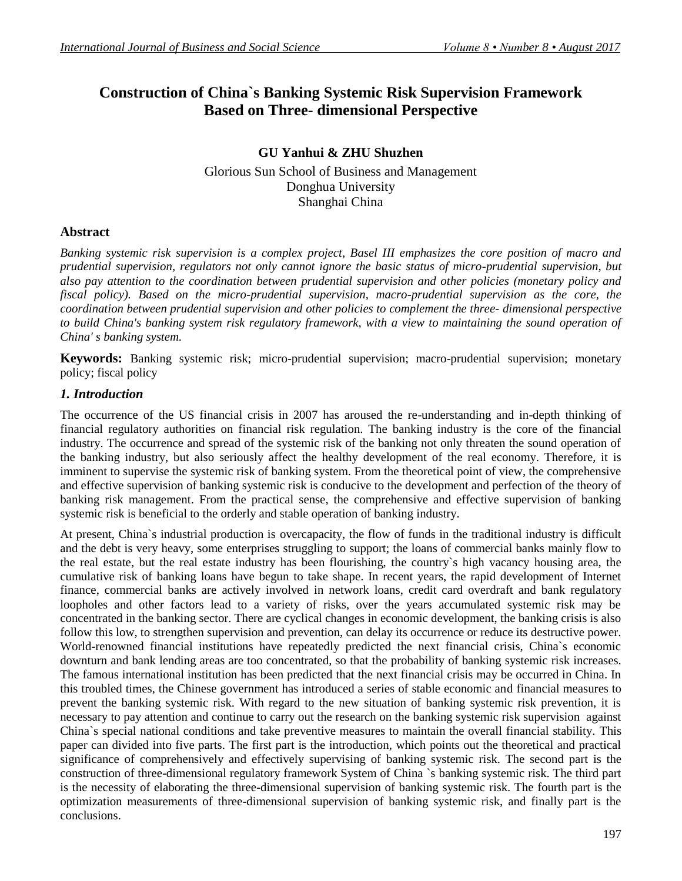# **Construction of China`s Banking Systemic Risk Supervision Framework Based on Three- dimensional Perspective**

## **GU Yanhui & ZHU Shuzhen**

Glorious Sun School of Business and Management Donghua University Shanghai China

## **Abstract**

*Banking systemic risk supervision is a complex project, Basel III emphasizes the core position of macro and prudential supervision, regulators not only cannot ignore the basic status of micro-prudential supervision, but also pay attention to the coordination between prudential supervision and other policies (monetary policy and fiscal policy). Based on the micro-prudential supervision, macro-prudential supervision as the core, the coordination between prudential supervision and other policies to complement the three- dimensional perspective to build China's banking system risk regulatory framework, with a view to maintaining the sound operation of China' s banking system.*

**Keywords:** Banking systemic risk; micro-prudential supervision; macro-prudential supervision; monetary policy; fiscal policy

## *1. Introduction*

The occurrence of the US financial crisis in 2007 has aroused the re-understanding and in-depth thinking of financial regulatory authorities on financial risk regulation. The banking industry is the core of the financial industry. The occurrence and spread of the systemic risk of the banking not only threaten the sound operation of the banking industry, but also seriously affect the healthy development of the real economy. Therefore, it is imminent to supervise the systemic risk of banking system. From the theoretical point of view, the comprehensive and effective supervision of banking systemic risk is conducive to the development and perfection of the theory of banking risk management. From the practical sense, the comprehensive and effective supervision of banking systemic risk is beneficial to the orderly and stable operation of banking industry.

At present, China`s industrial production is overcapacity, the flow of funds in the traditional industry is difficult and the debt is very heavy, some enterprises struggling to support; the loans of commercial banks mainly flow to the real estate, but the real estate industry has been flourishing, the country`s high vacancy housing area, the cumulative risk of banking loans have begun to take shape. In recent years, the rapid development of Internet finance, commercial banks are actively involved in network loans, credit card overdraft and bank regulatory loopholes and other factors lead to a variety of risks, over the years accumulated systemic risk may be concentrated in the banking sector. There are cyclical changes in economic development, the banking crisis is also follow this low, to strengthen supervision and prevention, can delay its occurrence or reduce its destructive power. World-renowned financial institutions have repeatedly predicted the next financial crisis, China`s economic downturn and bank lending areas are too concentrated, so that the probability of banking systemic risk increases. The famous international institution has been predicted that the next financial crisis may be occurred in China. In this troubled times, the Chinese government has introduced a series of stable economic and financial measures to prevent the banking systemic risk. With regard to the new situation of banking systemic risk prevention, it is necessary to pay attention and continue to carry out the research on the banking systemic risk supervision against China`s special national conditions and take preventive measures to maintain the overall financial stability. This paper can divided into five parts. The first part is the introduction, which points out the theoretical and practical significance of comprehensively and effectively supervising of banking systemic risk. The second part is the construction of three-dimensional regulatory framework System of China `s banking systemic risk. The third part is the necessity of elaborating the three-dimensional supervision of banking systemic risk. The fourth part is the optimization measurements of three-dimensional supervision of banking systemic risk, and finally part is the conclusions.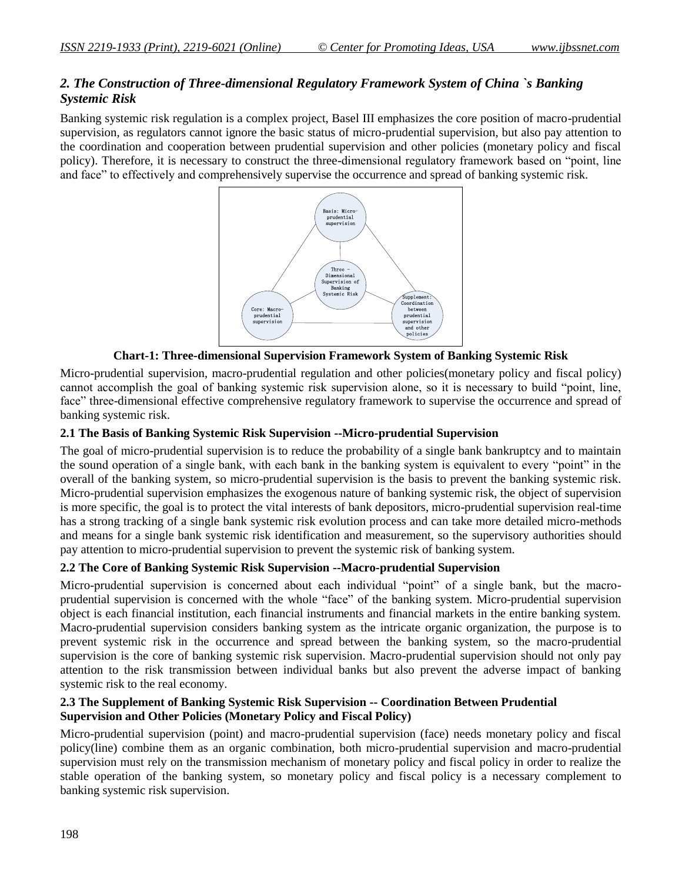## *2. The Construction of Three-dimensional Regulatory Framework System of China `s Banking Systemic Risk*

Banking systemic risk regulation is a complex project, Basel III emphasizes the core position of macro-prudential supervision, as regulators cannot ignore the basic status of micro-prudential supervision, but also pay attention to the coordination and cooperation between prudential supervision and other policies (monetary policy and fiscal policy). Therefore, it is necessary to construct the three-dimensional regulatory framework based on "point, line and face" to effectively and comprehensively supervise the occurrence and spread of banking systemic risk.



## **Chart-1: Three-dimensional Supervision Framework System of Banking Systemic Risk**

Micro-prudential supervision, macro-prudential regulation and other policies(monetary policy and fiscal policy) cannot accomplish the goal of banking systemic risk supervision alone, so it is necessary to build "point, line, face" three-dimensional effective comprehensive regulatory framework to supervise the occurrence and spread of banking systemic risk.

### **2.1 The Basis of Banking Systemic Risk Supervision --Micro-prudential Supervision**

The goal of micro-prudential supervision is to reduce the probability of a single bank bankruptcy and to maintain the sound operation of a single bank, with each bank in the banking system is equivalent to every "point" in the overall of the banking system, so micro-prudential supervision is the basis to prevent the banking systemic risk. Micro-prudential supervision emphasizes the exogenous nature of banking systemic risk, the object of supervision is more specific, the goal is to protect the vital interests of bank depositors, micro-prudential supervision real-time has a strong tracking of a single bank systemic risk evolution process and can take more detailed micro-methods and means for a single bank systemic risk identification and measurement, so the supervisory authorities should pay attention to micro-prudential supervision to prevent the systemic risk of banking system.

## **2.2 The Core of Banking Systemic Risk Supervision --Macro-prudential Supervision**

Micro-prudential supervision is concerned about each individual "point" of a single bank, but the macroprudential supervision is concerned with the whole "face" of the banking system. Micro-prudential supervision object is each financial institution, each financial instruments and financial markets in the entire banking system. Macro-prudential supervision considers banking system as the intricate organic organization, the purpose is to prevent systemic risk in the occurrence and spread between the banking system, so the macro-prudential supervision is the core of banking systemic risk supervision. Macro-prudential supervision should not only pay attention to the risk transmission between individual banks but also prevent the adverse impact of banking systemic risk to the real economy.

### **2.3 The Supplement of Banking Systemic Risk Supervision -- Coordination Between Prudential Supervision and Other Policies (Monetary Policy and Fiscal Policy)**

Micro-prudential supervision (point) and macro-prudential supervision (face) needs monetary policy and fiscal policy(line) combine them as an organic combination, both micro-prudential supervision and macro-prudential supervision must rely on the transmission mechanism of monetary policy and fiscal policy in order to realize the stable operation of the banking system, so monetary policy and fiscal policy is a necessary complement to banking systemic risk supervision.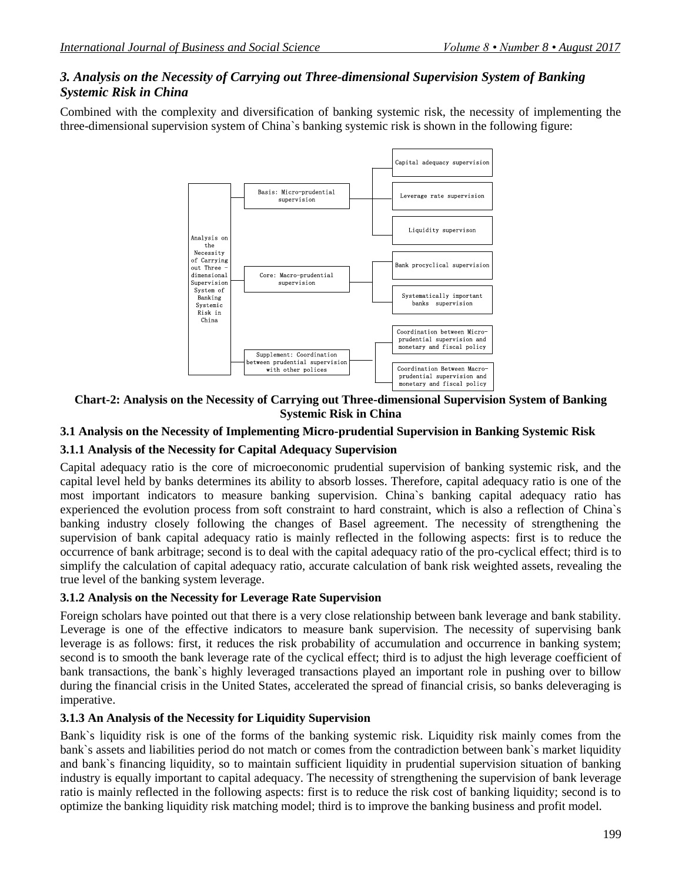## *3. Analysis on the Necessity of Carrying out Three-dimensional Supervision System of Banking Systemic Risk in China*

Combined with the complexity and diversification of banking systemic risk, the necessity of implementing the three-dimensional supervision system of China`s banking systemic risk is shown in the following figure:



## **Chart-2: Analysis on the Necessity of Carrying out Three-dimensional Supervision System of Banking Systemic Risk in China**

## **3.1 Analysis on the Necessity of Implementing Micro-prudential Supervision in Banking Systemic Risk**

## **3.1.1 Analysis of the Necessity for Capital Adequacy Supervision**

Capital adequacy ratio is the core of microeconomic prudential supervision of banking systemic risk, and the capital level held by banks determines its ability to absorb losses. Therefore, capital adequacy ratio is one of the most important indicators to measure banking supervision. China`s banking capital adequacy ratio has experienced the evolution process from soft constraint to hard constraint, which is also a reflection of China`s banking industry closely following the changes of Basel agreement. The necessity of strengthening the supervision of bank capital adequacy ratio is mainly reflected in the following aspects: first is to reduce the occurrence of bank arbitrage; second is to deal with the capital adequacy ratio of the pro-cyclical effect; third is to simplify the calculation of capital adequacy ratio, accurate calculation of bank risk weighted assets, revealing the true level of the banking system leverage.

## **3.1.2 Analysis on the Necessity for Leverage Rate Supervision**

Foreign scholars have pointed out that there is a very close relationship between bank leverage and bank stability. Leverage is one of the effective indicators to measure bank supervision. The necessity of supervising bank leverage is as follows: first, it reduces the risk probability of accumulation and occurrence in banking system; second is to smooth the bank leverage rate of the cyclical effect; third is to adjust the high leverage coefficient of bank transactions, the bank`s highly leveraged transactions played an important role in pushing over to billow during the financial crisis in the United States, accelerated the spread of financial crisis, so banks deleveraging is imperative.

## **3.1.3 An Analysis of the Necessity for Liquidity Supervision**

Bank`s liquidity risk is one of the forms of the banking systemic risk. Liquidity risk mainly comes from the bank`s assets and liabilities period do not match or comes from the contradiction between bank`s market liquidity and bank`s financing liquidity, so to maintain sufficient liquidity in prudential supervision situation of banking industry is equally important to capital adequacy. The necessity of strengthening the supervision of bank leverage ratio is mainly reflected in the following aspects: first is to reduce the risk cost of banking liquidity; second is to optimize the banking liquidity risk matching model; third is to improve the banking business and profit model.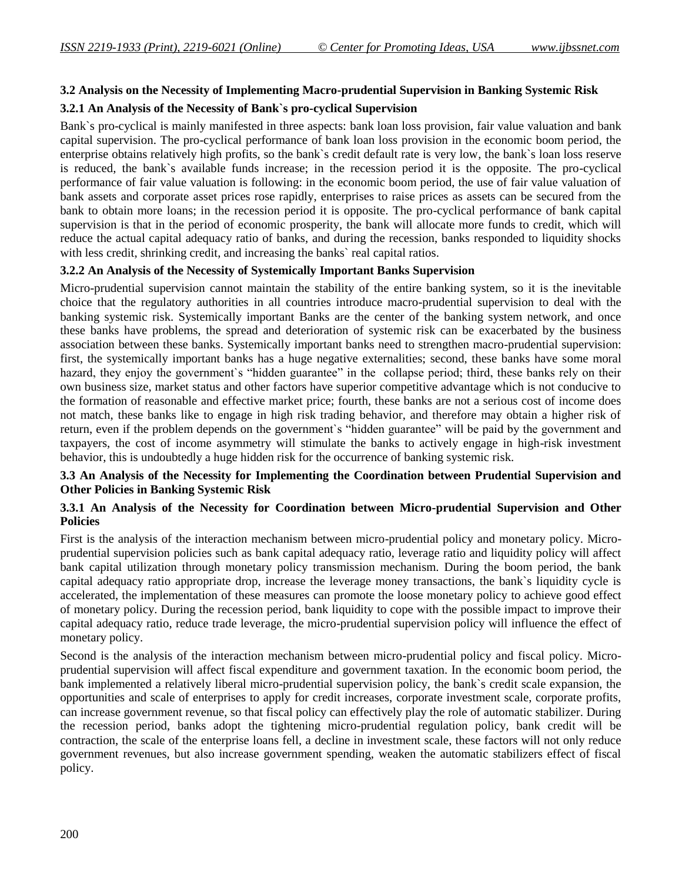### **3.2 Analysis on the Necessity of Implementing Macro-prudential Supervision in Banking Systemic Risk**

#### **3.2.1 An Analysis of the Necessity of Bank`s pro-cyclical Supervision**

Bank`s pro-cyclical is mainly manifested in three aspects: bank loan loss provision, fair value valuation and bank capital supervision. The pro-cyclical performance of bank loan loss provision in the economic boom period, the enterprise obtains relatively high profits, so the bank`s credit default rate is very low, the bank`s loan loss reserve is reduced, the bank`s available funds increase; in the recession period it is the opposite. The pro-cyclical performance of fair value valuation is following: in the economic boom period, the use of fair value valuation of bank assets and corporate asset prices rose rapidly, enterprises to raise prices as assets can be secured from the bank to obtain more loans; in the recession period it is opposite. The pro-cyclical performance of bank capital supervision is that in the period of economic prosperity, the bank will allocate more funds to credit, which will reduce the actual capital adequacy ratio of banks, and during the recession, banks responded to liquidity shocks with less credit, shrinking credit, and increasing the banks' real capital ratios.

#### **3.2.2 An Analysis of the Necessity of Systemically Important Banks Supervision**

Micro-prudential supervision cannot maintain the stability of the entire banking system, so it is the inevitable choice that the regulatory authorities in all countries introduce macro-prudential supervision to deal with the banking systemic risk. Systemically important Banks are the center of the banking system network, and once these banks have problems, the spread and deterioration of systemic risk can be exacerbated by the business association between these banks. Systemically important banks need to strengthen macro-prudential supervision: first, the systemically important banks has a huge negative externalities; second, these banks have some moral hazard, they enjoy the government`s "hidden guarantee" in the collapse period; third, these banks rely on their own business size, market status and other factors have superior competitive advantage which is not conducive to the formation of reasonable and effective market price; fourth, these banks are not a serious cost of income does not match, these banks like to engage in high risk trading behavior, and therefore may obtain a higher risk of return, even if the problem depends on the government`s "hidden guarantee" will be paid by the government and taxpayers, the cost of income asymmetry will stimulate the banks to actively engage in high-risk investment behavior, this is undoubtedly a huge hidden risk for the occurrence of banking systemic risk.

#### **3.3 An Analysis of the Necessity for Implementing the Coordination between Prudential Supervision and Other Policies in Banking Systemic Risk**

#### **3.3.1 An Analysis of the Necessity for Coordination between Micro-prudential Supervision and Other Policies**

First is the analysis of the interaction mechanism between micro-prudential policy and monetary policy. Microprudential supervision policies such as bank capital adequacy ratio, leverage ratio and liquidity policy will affect bank capital utilization through monetary policy transmission mechanism. During the boom period, the bank capital adequacy ratio appropriate drop, increase the leverage money transactions, the bank`s liquidity cycle is accelerated, the implementation of these measures can promote the loose monetary policy to achieve good effect of monetary policy. During the recession period, bank liquidity to cope with the possible impact to improve their capital adequacy ratio, reduce trade leverage, the micro-prudential supervision policy will influence the effect of monetary policy.

Second is the analysis of the interaction mechanism between micro-prudential policy and fiscal policy. Microprudential supervision will affect fiscal expenditure and government taxation. In the economic boom period, the bank implemented a relatively liberal micro-prudential supervision policy, the bank`s credit scale expansion, the opportunities and scale of enterprises to apply for credit increases, corporate investment scale, corporate profits, can increase government revenue, so that fiscal policy can effectively play the role of automatic stabilizer. During the recession period, banks adopt the tightening micro-prudential regulation policy, bank credit will be contraction, the scale of the enterprise loans fell, a decline in investment scale, these factors will not only reduce government revenues, but also increase government spending, weaken the automatic stabilizers effect of fiscal policy.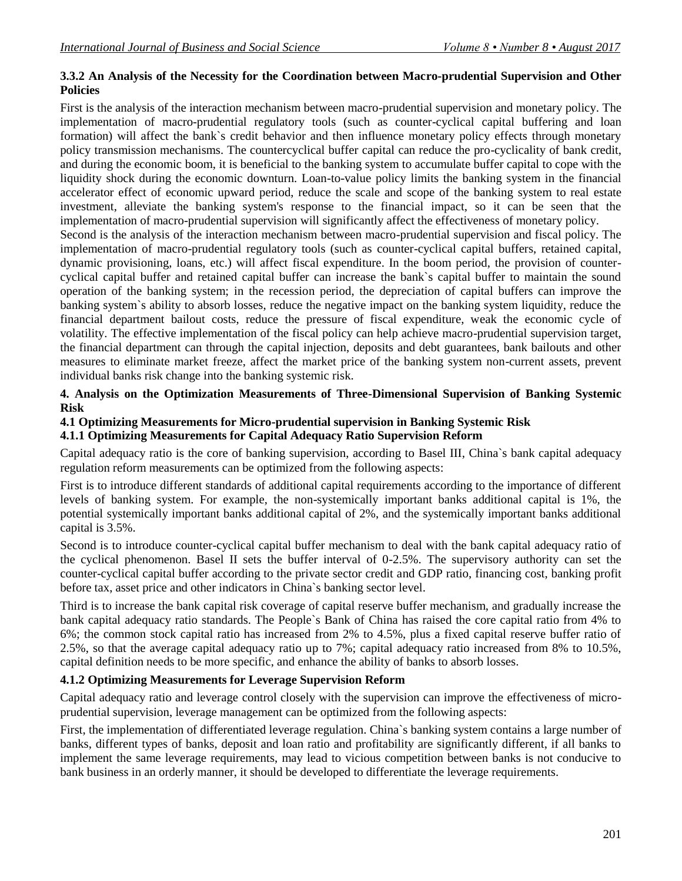## **3.3.2 An Analysis of the Necessity for the Coordination between Macro-prudential Supervision and Other Policies**

First is the analysis of the interaction mechanism between macro-prudential supervision and monetary policy. The implementation of macro-prudential regulatory tools (such as counter-cyclical capital buffering and loan formation) will affect the bank`s credit behavior and then influence monetary policy effects through monetary policy transmission mechanisms. The countercyclical buffer capital can reduce the pro-cyclicality of bank credit, and during the economic boom, it is beneficial to the banking system to accumulate buffer capital to cope with the liquidity shock during the economic downturn. Loan-to-value policy limits the banking system in the financial accelerator effect of economic upward period, reduce the scale and scope of the banking system to real estate investment, alleviate the banking system's response to the financial impact, so it can be seen that the implementation of macro-prudential supervision will significantly affect the effectiveness of monetary policy.

Second is the analysis of the interaction mechanism between macro-prudential supervision and fiscal policy. The implementation of macro-prudential regulatory tools (such as counter-cyclical capital buffers, retained capital, dynamic provisioning, loans, etc.) will affect fiscal expenditure. In the boom period, the provision of countercyclical capital buffer and retained capital buffer can increase the bank`s capital buffer to maintain the sound operation of the banking system; in the recession period, the depreciation of capital buffers can improve the banking system`s ability to absorb losses, reduce the negative impact on the banking system liquidity, reduce the financial department bailout costs, reduce the pressure of fiscal expenditure, weak the economic cycle of volatility. The effective implementation of the fiscal policy can help achieve macro-prudential supervision target, the financial department can through the capital injection, deposits and debt guarantees, bank bailouts and other measures to eliminate market freeze, affect the market price of the banking system non-current assets, prevent individual banks risk change into the banking systemic risk.

#### **4. Analysis on the Optimization Measurements of Three-Dimensional Supervision of Banking Systemic Risk**

### **4.1 Optimizing Measurements for Micro-prudential supervision in Banking Systemic Risk**

## **4.1.1 Optimizing Measurements for Capital Adequacy Ratio Supervision Reform**

Capital adequacy ratio is the core of banking supervision, according to Basel III, China`s bank capital adequacy regulation reform measurements can be optimized from the following aspects:

First is to introduce different standards of additional capital requirements according to the importance of different levels of banking system. For example, the non-systemically important banks additional capital is 1%, the potential systemically important banks additional capital of 2%, and the systemically important banks additional capital is 3.5%.

Second is to introduce counter-cyclical capital buffer mechanism to deal with the bank capital adequacy ratio of the cyclical phenomenon. Basel II sets the buffer interval of 0-2.5%. The supervisory authority can set the counter-cyclical capital buffer according to the private sector credit and GDP ratio, financing cost, banking profit before tax, asset price and other indicators in China`s banking sector level.

Third is to increase the bank capital risk coverage of capital reserve buffer mechanism, and gradually increase the bank capital adequacy ratio standards. The People`s Bank of China has raised the core capital ratio from 4% to 6%; the common stock capital ratio has increased from 2% to 4.5%, plus a fixed capital reserve buffer ratio of 2.5%, so that the average capital adequacy ratio up to 7%; capital adequacy ratio increased from 8% to 10.5%, capital definition needs to be more specific, and enhance the ability of banks to absorb losses.

### **4.1.2 Optimizing Measurements for Leverage Supervision Reform**

Capital adequacy ratio and leverage control closely with the supervision can improve the effectiveness of microprudential supervision, leverage management can be optimized from the following aspects:

First, the implementation of differentiated leverage regulation. China`s banking system contains a large number of banks, different types of banks, deposit and loan ratio and profitability are significantly different, if all banks to implement the same leverage requirements, may lead to vicious competition between banks is not conducive to bank business in an orderly manner, it should be developed to differentiate the leverage requirements.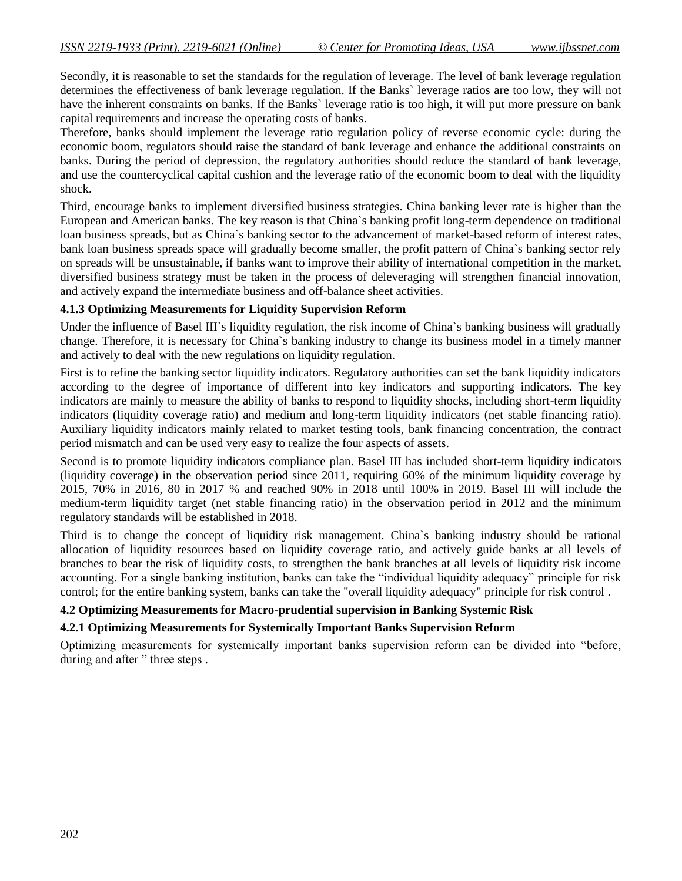Secondly, it is reasonable to set the standards for the regulation of leverage. The level of bank leverage regulation determines the effectiveness of bank leverage regulation. If the Banks` leverage ratios are too low, they will not have the inherent constraints on banks. If the Banks` leverage ratio is too high, it will put more pressure on bank capital requirements and increase the operating costs of banks.

Therefore, banks should implement the leverage ratio regulation policy of reverse economic cycle: during the economic boom, regulators should raise the standard of bank leverage and enhance the additional constraints on banks. During the period of depression, the regulatory authorities should reduce the standard of bank leverage, and use the countercyclical capital cushion and the leverage ratio of the economic boom to deal with the liquidity shock.

Third, encourage banks to implement diversified business strategies. China banking lever rate is higher than the European and American banks. The key reason is that China`s banking profit long-term dependence on traditional loan business spreads, but as China`s banking sector to the advancement of market-based reform of interest rates, bank loan business spreads space will gradually become smaller, the profit pattern of China`s banking sector rely on spreads will be unsustainable, if banks want to improve their ability of international competition in the market, diversified business strategy must be taken in the process of deleveraging will strengthen financial innovation, and actively expand the intermediate business and off-balance sheet activities.

### **4.1.3 Optimizing Measurements for Liquidity Supervision Reform**

Under the influence of Basel III's liquidity regulation, the risk income of China's banking business will gradually change. Therefore, it is necessary for China`s banking industry to change its business model in a timely manner and actively to deal with the new regulations on liquidity regulation.

First is to refine the banking sector liquidity indicators. Regulatory authorities can set the bank liquidity indicators according to the degree of importance of different into key indicators and supporting indicators. The key indicators are mainly to measure the ability of banks to respond to liquidity shocks, including short-term liquidity indicators (liquidity coverage ratio) and medium and long-term liquidity indicators (net stable financing ratio). Auxiliary liquidity indicators mainly related to market testing tools, bank financing concentration, the contract period mismatch and can be used very easy to realize the four aspects of assets.

Second is to promote liquidity indicators compliance plan. Basel III has included short-term liquidity indicators (liquidity coverage) in the observation period since 2011, requiring 60% of the minimum liquidity coverage by 2015, 70% in 2016, 80 in 2017 % and reached 90% in 2018 until 100% in 2019. Basel III will include the medium-term liquidity target (net stable financing ratio) in the observation period in 2012 and the minimum regulatory standards will be established in 2018.

Third is to change the concept of liquidity risk management. China`s banking industry should be rational allocation of liquidity resources based on liquidity coverage ratio, and actively guide banks at all levels of branches to bear the risk of liquidity costs, to strengthen the bank branches at all levels of liquidity risk income accounting. For a single banking institution, banks can take the "individual liquidity adequacy" principle for risk control; for the entire banking system, banks can take the "overall liquidity adequacy" principle for risk control .

### **4.2 Optimizing Measurements for Macro-prudential supervision in Banking Systemic Risk**

### **4.2.1 Optimizing Measurements for Systemically Important Banks Supervision Reform**

Optimizing measurements for systemically important banks supervision reform can be divided into "before, during and after " three steps.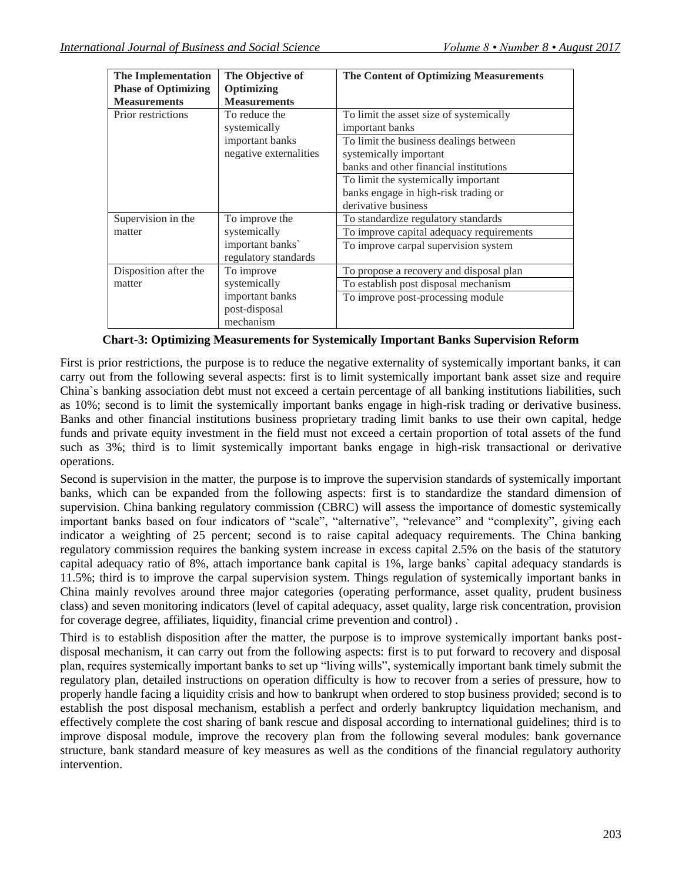| <b>The Implementation</b>  | The Objective of       | The Content of Optimizing Measurements   |  |
|----------------------------|------------------------|------------------------------------------|--|
| <b>Phase of Optimizing</b> | Optimizing             |                                          |  |
| <b>Measurements</b>        | <b>Measurements</b>    |                                          |  |
| Prior restrictions         | To reduce the          | To limit the asset size of systemically  |  |
|                            | systemically           | important banks                          |  |
|                            | important banks        | To limit the business dealings between   |  |
|                            | negative externalities | systemically important                   |  |
|                            |                        | banks and other financial institutions   |  |
|                            |                        | To limit the systemically important      |  |
|                            |                        | banks engage in high-risk trading or     |  |
|                            |                        | derivative business                      |  |
| Supervision in the         | To improve the         | To standardize regulatory standards      |  |
| matter                     | systemically           | To improve capital adequacy requirements |  |
|                            | important banks`       | To improve carpal supervision system     |  |
|                            | regulatory standards   |                                          |  |
| Disposition after the      | To improve             | To propose a recovery and disposal plan  |  |
| matter                     | systemically           | To establish post disposal mechanism     |  |
|                            | important banks        | To improve post-processing module        |  |
|                            | post-disposal          |                                          |  |
|                            | mechanism              |                                          |  |

**Chart-3: Optimizing Measurements for Systemically Important Banks Supervision Reform**

First is prior restrictions, the purpose is to reduce the negative externality of systemically important banks, it can carry out from the following several aspects: first is to limit systemically important bank asset size and require China`s banking association debt must not exceed a certain percentage of all banking institutions liabilities, such as 10%; second is to limit the systemically important banks engage in high-risk trading or derivative business. Banks and other financial institutions business proprietary trading limit banks to use their own capital, hedge funds and private equity investment in the field must not exceed a certain proportion of total assets of the fund such as 3%; third is to limit systemically important banks engage in high-risk transactional or derivative operations.

Second is supervision in the matter, the purpose is to improve the supervision standards of systemically important banks, which can be expanded from the following aspects: first is to standardize the standard dimension of supervision. China banking regulatory commission (CBRC) will assess the importance of domestic systemically important banks based on four indicators of "scale", "alternative", "relevance" and "complexity", giving each indicator a weighting of 25 percent; second is to raise capital adequacy requirements. The China banking regulatory commission requires the banking system increase in excess capital 2.5% on the basis of the statutory capital adequacy ratio of 8%, attach importance bank capital is 1%, large banks` capital adequacy standards is 11.5%; third is to improve the carpal supervision system. Things regulation of systemically important banks in China mainly revolves around three major categories (operating performance, asset quality, prudent business class) and seven monitoring indicators (level of capital adequacy, asset quality, large risk concentration, provision for coverage degree, affiliates, liquidity, financial crime prevention and control) .

Third is to establish disposition after the matter, the purpose is to improve systemically important banks postdisposal mechanism, it can carry out from the following aspects: first is to put forward to recovery and disposal plan, requires systemically important banks to set up "living wills", systemically important bank timely submit the regulatory plan, detailed instructions on operation difficulty is how to recover from a series of pressure, how to properly handle facing a liquidity crisis and how to bankrupt when ordered to stop business provided; second is to establish the post disposal mechanism, establish a perfect and orderly bankruptcy liquidation mechanism, and effectively complete the cost sharing of bank rescue and disposal according to international guidelines; third is to improve disposal module, improve the recovery plan from the following several modules: bank governance structure, bank standard measure of key measures as well as the conditions of the financial regulatory authority intervention.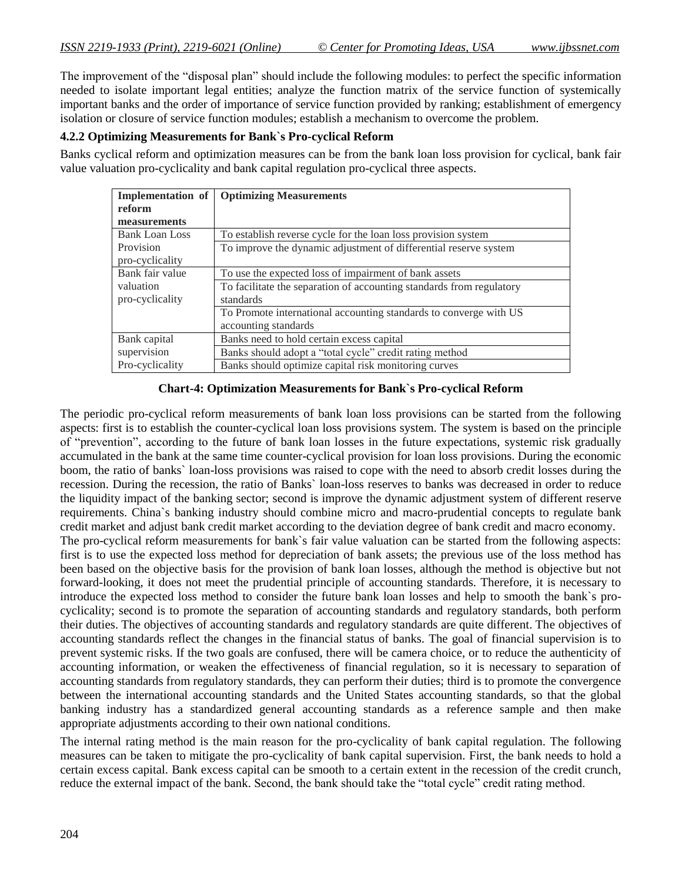The improvement of the "disposal plan" should include the following modules: to perfect the specific information needed to isolate important legal entities; analyze the function matrix of the service function of systemically important banks and the order of importance of service function provided by ranking; establishment of emergency isolation or closure of service function modules; establish a mechanism to overcome the problem.

#### **4.2.2 Optimizing Measurements for Bank`s Pro-cyclical Reform**

Banks cyclical reform and optimization measures can be from the bank loan loss provision for cyclical, bank fair value valuation pro-cyclicality and bank capital regulation pro-cyclical three aspects.

| <b>Implementation</b> of | <b>Optimizing Measurements</b>                                       |  |  |
|--------------------------|----------------------------------------------------------------------|--|--|
| reform                   |                                                                      |  |  |
| measurements             |                                                                      |  |  |
| <b>Bank Loan Loss</b>    | To establish reverse cycle for the loan loss provision system        |  |  |
| Provision                | To improve the dynamic adjustment of differential reserve system     |  |  |
| pro-cyclicality          |                                                                      |  |  |
| Bank fair value          | To use the expected loss of impairment of bank assets                |  |  |
| valuation                | To facilitate the separation of accounting standards from regulatory |  |  |
| pro-cyclicality          | standards                                                            |  |  |
|                          | To Promote international accounting standards to converge with US    |  |  |
|                          | accounting standards                                                 |  |  |
| Bank capital             | Banks need to hold certain excess capital                            |  |  |
| supervision              | Banks should adopt a "total cycle" credit rating method              |  |  |
| Pro-cyclicality          | Banks should optimize capital risk monitoring curves                 |  |  |

#### **Chart-4: Optimization Measurements for Bank`s Pro-cyclical Reform**

The periodic pro-cyclical reform measurements of bank loan loss provisions can be started from the following aspects: first is to establish the counter-cyclical loan loss provisions system. The system is based on the principle of "prevention", according to the future of bank loan losses in the future expectations, systemic risk gradually accumulated in the bank at the same time counter-cyclical provision for loan loss provisions. During the economic boom, the ratio of banks` loan-loss provisions was raised to cope with the need to absorb credit losses during the recession. During the recession, the ratio of Banks` loan-loss reserves to banks was decreased in order to reduce the liquidity impact of the banking sector; second is improve the dynamic adjustment system of different reserve requirements. China`s banking industry should combine micro and macro-prudential concepts to regulate bank credit market and adjust bank credit market according to the deviation degree of bank credit and macro economy.

The pro-cyclical reform measurements for bank`s fair value valuation can be started from the following aspects: first is to use the expected loss method for depreciation of bank assets; the previous use of the loss method has been based on the objective basis for the provision of bank loan losses, although the method is objective but not forward-looking, it does not meet the prudential principle of accounting standards. Therefore, it is necessary to introduce the expected loss method to consider the future bank loan losses and help to smooth the bank`s procyclicality; second is to promote the separation of accounting standards and regulatory standards, both perform their duties. The objectives of accounting standards and regulatory standards are quite different. The objectives of accounting standards reflect the changes in the financial status of banks. The goal of financial supervision is to prevent systemic risks. If the two goals are confused, there will be camera choice, or to reduce the authenticity of accounting information, or weaken the effectiveness of financial regulation, so it is necessary to separation of accounting standards from regulatory standards, they can perform their duties; third is to promote the convergence between the international accounting standards and the United States accounting standards, so that the global banking industry has a standardized general accounting standards as a reference sample and then make appropriate adjustments according to their own national conditions.

The internal rating method is the main reason for the pro-cyclicality of bank capital regulation. The following measures can be taken to mitigate the pro-cyclicality of bank capital supervision. First, the bank needs to hold a certain excess capital. Bank excess capital can be smooth to a certain extent in the recession of the credit crunch, reduce the external impact of the bank. Second, the bank should take the "total cycle" credit rating method.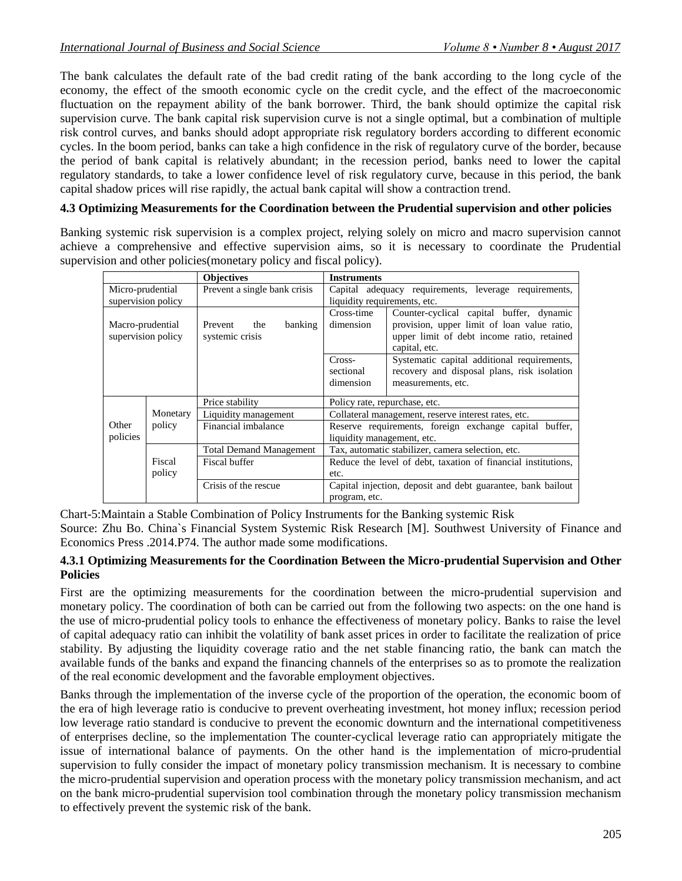The bank calculates the default rate of the bad credit rating of the bank according to the long cycle of the economy, the effect of the smooth economic cycle on the credit cycle, and the effect of the macroeconomic fluctuation on the repayment ability of the bank borrower. Third, the bank should optimize the capital risk supervision curve. The bank capital risk supervision curve is not a single optimal, but a combination of multiple risk control curves, and banks should adopt appropriate risk regulatory borders according to different economic cycles. In the boom period, banks can take a high confidence in the risk of regulatory curve of the border, because the period of bank capital is relatively abundant; in the recession period, banks need to lower the capital regulatory standards, to take a lower confidence level of risk regulatory curve, because in this period, the bank capital shadow prices will rise rapidly, the actual bank capital will show a contraction trend.

### **4.3 Optimizing Measurements for the Coordination between the Prudential supervision and other policies**

Banking systemic risk supervision is a complex project, relying solely on micro and macro supervision cannot achieve a comprehensive and effective supervision aims, so it is necessary to coordinate the Prudential supervision and other policies(monetary policy and fiscal policy).

|                                        |                  | <b>Objectives</b>                            | <b>Instruments</b>                                                                   |                                                                                                                                                        |
|----------------------------------------|------------------|----------------------------------------------|--------------------------------------------------------------------------------------|--------------------------------------------------------------------------------------------------------------------------------------------------------|
| Micro-prudential                       |                  | Prevent a single bank crisis                 | Capital adequacy requirements, leverage requirements,                                |                                                                                                                                                        |
| supervision policy                     |                  |                                              | liquidity requirements, etc.                                                         |                                                                                                                                                        |
| Macro-prudential<br>supervision policy |                  | banking<br>Prevent<br>the<br>systemic crisis | Cross-time<br>dimension                                                              | Counter-cyclical capital buffer, dynamic<br>provision, upper limit of loan value ratio,<br>upper limit of debt income ratio, retained<br>capital, etc. |
|                                        |                  |                                              | Cross-<br>sectional<br>dimension                                                     | Systematic capital additional requirements,<br>recovery and disposal plans, risk isolation<br>measurements, etc.                                       |
|                                        |                  | Price stability                              | Policy rate, repurchase, etc.                                                        |                                                                                                                                                        |
| Other<br>policies                      | Monetary         | Liquidity management                         | Collateral management, reserve interest rates, etc.                                  |                                                                                                                                                        |
|                                        | policy           | Financial imbalance                          | Reserve requirements, foreign exchange capital buffer,<br>liquidity management, etc. |                                                                                                                                                        |
|                                        |                  | <b>Total Demand Management</b>               | Tax, automatic stabilizer, camera selection, etc.                                    |                                                                                                                                                        |
|                                        | Fiscal<br>policy | Fiscal buffer                                | Reduce the level of debt, taxation of financial institutions,                        |                                                                                                                                                        |
|                                        |                  |                                              | etc.                                                                                 |                                                                                                                                                        |
|                                        |                  | Crisis of the rescue                         | Capital injection, deposit and debt guarantee, bank bailout                          |                                                                                                                                                        |
|                                        |                  |                                              | program, etc.                                                                        |                                                                                                                                                        |

Chart-5:Maintain a Stable Combination of Policy Instruments for the Banking systemic Risk Source: Zhu Bo. China`s Financial System Systemic Risk Research [M]. Southwest University of Finance and Economics Press .2014.P74. The author made some modifications.

### **4.3.1 Optimizing Measurements for the Coordination Between the Micro-prudential Supervision and Other Policies**

First are the optimizing measurements for the coordination between the micro-prudential supervision and monetary policy. The coordination of both can be carried out from the following two aspects: on the one hand is the use of micro-prudential policy tools to enhance the effectiveness of monetary policy. Banks to raise the level of capital adequacy ratio can inhibit the volatility of bank asset prices in order to facilitate the realization of price stability. By adjusting the liquidity coverage ratio and the net stable financing ratio, the bank can match the available funds of the banks and expand the financing channels of the enterprises so as to promote the realization of the real economic development and the favorable employment objectives.

Banks through the implementation of the inverse cycle of the proportion of the operation, the economic boom of the era of high leverage ratio is conducive to prevent overheating investment, hot money influx; recession period low leverage ratio standard is conducive to prevent the economic downturn and the international competitiveness of enterprises decline, so the implementation The counter-cyclical leverage ratio can appropriately mitigate the issue of international balance of payments. On the other hand is the implementation of micro-prudential supervision to fully consider the impact of monetary policy transmission mechanism. It is necessary to combine the micro-prudential supervision and operation process with the monetary policy transmission mechanism, and act on the bank micro-prudential supervision tool combination through the monetary policy transmission mechanism to effectively prevent the systemic risk of the bank.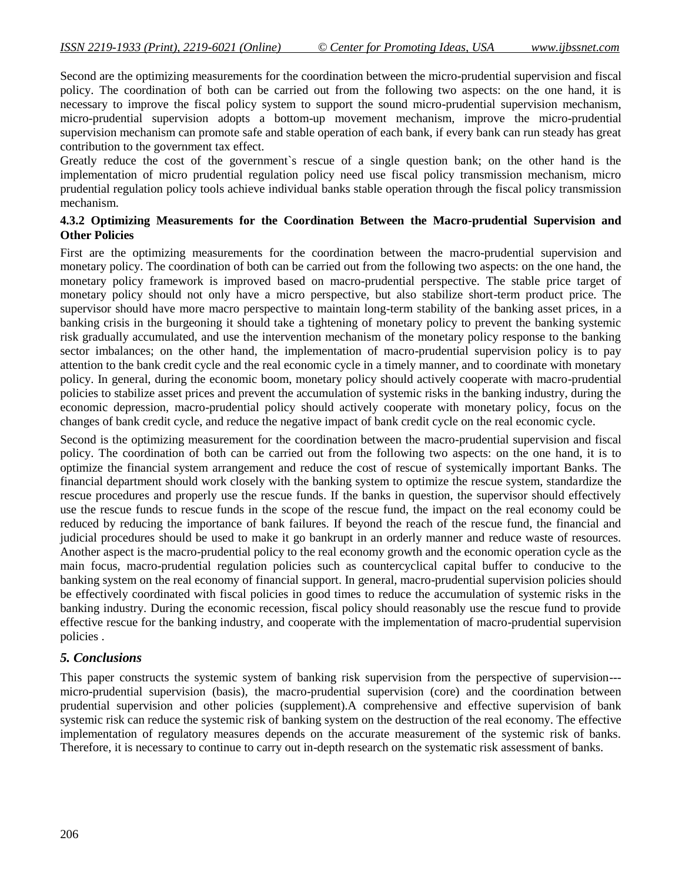Second are the optimizing measurements for the coordination between the micro-prudential supervision and fiscal policy. The coordination of both can be carried out from the following two aspects: on the one hand, it is necessary to improve the fiscal policy system to support the sound micro-prudential supervision mechanism, micro-prudential supervision adopts a bottom-up movement mechanism, improve the micro-prudential supervision mechanism can promote safe and stable operation of each bank, if every bank can run steady has great contribution to the government tax effect.

Greatly reduce the cost of the government`s rescue of a single question bank; on the other hand is the implementation of micro prudential regulation policy need use fiscal policy transmission mechanism, micro prudential regulation policy tools achieve individual banks stable operation through the fiscal policy transmission mechanism.

#### **4.3.2 Optimizing Measurements for the Coordination Between the Macro-prudential Supervision and Other Policies**

First are the optimizing measurements for the coordination between the macro-prudential supervision and monetary policy. The coordination of both can be carried out from the following two aspects: on the one hand, the monetary policy framework is improved based on macro-prudential perspective. The stable price target of monetary policy should not only have a micro perspective, but also stabilize short-term product price. The supervisor should have more macro perspective to maintain long-term stability of the banking asset prices, in a banking crisis in the burgeoning it should take a tightening of monetary policy to prevent the banking systemic risk gradually accumulated, and use the intervention mechanism of the monetary policy response to the banking sector imbalances; on the other hand, the implementation of macro-prudential supervision policy is to pay attention to the bank credit cycle and the real economic cycle in a timely manner, and to coordinate with monetary policy. In general, during the economic boom, monetary policy should actively cooperate with macro-prudential policies to stabilize asset prices and prevent the accumulation of systemic risks in the banking industry, during the economic depression, macro-prudential policy should actively cooperate with monetary policy, focus on the changes of bank credit cycle, and reduce the negative impact of bank credit cycle on the real economic cycle.

Second is the optimizing measurement for the coordination between the macro-prudential supervision and fiscal policy. The coordination of both can be carried out from the following two aspects: on the one hand, it is to optimize the financial system arrangement and reduce the cost of rescue of systemically important Banks. The financial department should work closely with the banking system to optimize the rescue system, standardize the rescue procedures and properly use the rescue funds. If the banks in question, the supervisor should effectively use the rescue funds to rescue funds in the scope of the rescue fund, the impact on the real economy could be reduced by reducing the importance of bank failures. If beyond the reach of the rescue fund, the financial and judicial procedures should be used to make it go bankrupt in an orderly manner and reduce waste of resources. Another aspect is the macro-prudential policy to the real economy growth and the economic operation cycle as the main focus, macro-prudential regulation policies such as countercyclical capital buffer to conducive to the banking system on the real economy of financial support. In general, macro-prudential supervision policies should be effectively coordinated with fiscal policies in good times to reduce the accumulation of systemic risks in the banking industry. During the economic recession, fiscal policy should reasonably use the rescue fund to provide effective rescue for the banking industry, and cooperate with the implementation of macro-prudential supervision policies .

#### *5. Conclusions*

This paper constructs the systemic system of banking risk supervision from the perspective of supervision-- micro-prudential supervision (basis), the macro-prudential supervision (core) and the coordination between prudential supervision and other policies (supplement).A comprehensive and effective supervision of bank systemic risk can reduce the systemic risk of banking system on the destruction of the real economy. The effective implementation of regulatory measures depends on the accurate measurement of the systemic risk of banks. Therefore, it is necessary to continue to carry out in-depth research on the systematic risk assessment of banks.